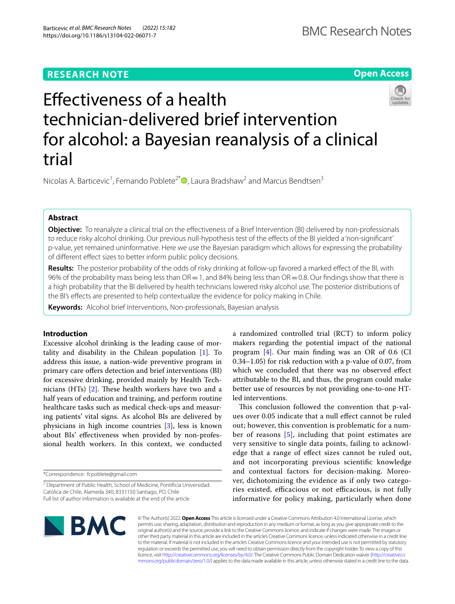# **Open Access**



# Efectiveness of a health technician-delivered brief intervention for alcohol: a Bayesian reanalysis of a clinical trial

Nicolas A. Barticevic<sup>1</sup>, Fernando Poblete<sup>2[\\*](http://orcid.org/0000-0002-6207-1563)</sup><sup>0</sup>, Laura Bradshaw<sup>2</sup> and Marcus Bendtsen<sup>3</sup>

# **Abstract**

**Objective:** To reanalyze a clinical trial on the efectiveness of a Brief Intervention (BI) delivered by non-professionals to reduce risky alcohol drinking. Our previous null-hypothesis test of the efects of the BI yielded a 'non-signifcant' p-value, yet remained uninformative. Here we use the Bayesian paradigm which allows for expressing the probability of diferent efect sizes to better inform public policy decisions.

**Results:** The posterior probability of the odds of risky drinking at follow-up favored a marked efect of the BI, with 96% of the probability mass being less than  $OR=1$ , and 84% being less than  $OR=0.8$ . Our findings show that there is a high probability that the BI delivered by health technicians lowered risky alcohol use. The posterior distributions of the BI's efects are presented to help contextualize the evidence for policy making in Chile.

**Keywords:** Alcohol brief interventions, Non-professionals, Bayesian analysis

## **Introduction**

Excessive alcohol drinking is the leading cause of mortality and disability in the Chilean population [[1](#page-4-0)]. To address this issue, a nation-wide preventive program in primary care offers detection and brief interventions (BI) for excessive drinking, provided mainly by Health Technicians (HTs)  $[2]$  $[2]$ . These health workers have two and a half years of education and training, and perform routine healthcare tasks such as medical check-ups and measuring patients' vital signs. As alcohol BIs are delivered by physicians in high income countries [\[3](#page-4-2)], less is known about BIs' efectiveness when provided by non-professional health workers. In this context, we conducted

a randomized controlled trial (RCT) to inform policy makers regarding the potential impact of the national program [[4\]](#page-4-3). Our main fnding was an OR of 0.6 (CI 0.34–1.05) for risk reduction with a p-value of 0.07, from which we concluded that there was no observed efect attributable to the BI, and thus, the program could make better use of resources by not providing one-to-one HTled interventions.

This conclusion followed the convention that p-values over 0.05 indicate that a null efect cannot be ruled out; however, this convention is problematic for a number of reasons [\[5](#page-4-4)], including that point estimates are very sensitive to single data points, failing to acknowledge that a range of efect sizes cannot be ruled out, and not incorporating previous scientifc knowledge and contextual factors for decision-making. Moreover, dichotomizing the evidence as if only two categories existed, efficacious or not efficacious, is not fully informative for policy making, particularly when done



© The Author(s) 2022. **Open Access** This article is licensed under a Creative Commons Attribution 4.0 International License, which permits use, sharing, adaptation, distribution and reproduction in any medium or format, as long as you give appropriate credit to the original author(s) and the source, provide a link to the Creative Commons licence, and indicate if changes were made. The images or other third party material in this article are included in the article's Creative Commons licence, unless indicated otherwise in a credit line to the material. If material is not included in the article's Creative Commons licence and your intended use is not permitted by statutory regulation or exceeds the permitted use, you will need to obtain permission directly from the copyright holder. To view a copy of this licence, visit [http://creativecommons.org/licenses/by/4.0/.](http://creativecommons.org/licenses/by/4.0/) The Creative Commons Public Domain Dedication waiver ([http://creativeco](http://creativecommons.org/publicdomain/zero/1.0/) [mmons.org/publicdomain/zero/1.0/](http://creativecommons.org/publicdomain/zero/1.0/)) applies to the data made available in this article, unless otherwise stated in a credit line to the data.

<sup>\*</sup>Correspondence: fcpoblete@gmail.com

<sup>&</sup>lt;sup>2</sup> Department of Public Health, School of Medicine, Pontificia Universidad Católica de Chile, Alameda 340, 8331150 Santiago, PO, Chile Full list of author information is available at the end of the article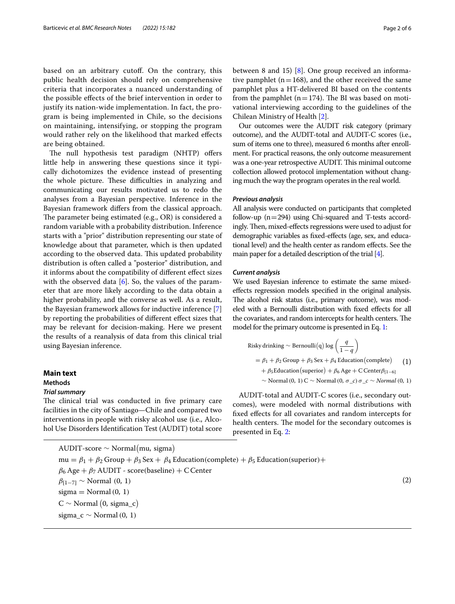based on an arbitrary cutof. On the contrary, this public health decision should rely on comprehensive criteria that incorporates a nuanced understanding of the possible efects of the brief intervention in order to justify its nation-wide implementation. In fact, the program is being implemented in Chile, so the decisions on maintaining, intensifying, or stopping the program would rather rely on the likelihood that marked efects are being obtained.

The null hypothesis test paradigm (NHTP) offers little help in answering these questions since it typically dichotomizes the evidence instead of presenting the whole picture. These difficulties in analyzing and communicating our results motivated us to redo the analyses from a Bayesian perspective. Inference in the Bayesian framework difers from the classical approach. The parameter being estimated (e.g., OR) is considered a random variable with a probability distribution. Inference starts with a "prior" distribution representing our state of knowledge about that parameter, which is then updated according to the observed data. This updated probability distribution is often called a "posterior" distribution, and it informs about the compatibility of diferent efect sizes with the observed data  $[6]$  $[6]$ . So, the values of the parameter that are more likely according to the data obtain a higher probability, and the converse as well. As a result, the Bayesian framework allows for inductive inference [\[7](#page-5-1)] by reporting the probabilities of diferent efect sizes that may be relevant for decision-making. Here we present the results of a reanalysis of data from this clinical trial using Bayesian inference.

# **Main text**

# **Methods**

## *Trial summary*

The clinical trial was conducted in five primary care facilities in the city of Santiago—Chile and compared two interventions in people with risky alcohol use (i.e., Alcohol Use Disorders Identifcation Test (AUDIT) total score

<code>AUDIT-score</code>  $\sim$  <code>Normal(mu, sigma)</code>

 $mu = \beta_1 + \beta_2 Group + \beta_3 Sex + \beta_4 Eduction(complete) + \beta_5 Eduction(superior) +$  $\beta_6$  Age +  $\beta_7$  AUDIT - score(baseline) + C Center  $\beta_{[1-7]} \sim \text{Normal}(0, 1)$  $sigma = Normal(0, 1)$  $C \sim$  Normal (0, sigma\_c) sigma\_c  $\sim$  Normal (0, 1)

between 8 and 15) [\[8](#page-5-2)]. One group received an informative pamphlet ( $n=168$ ), and the other received the same pamphlet plus a HT-delivered BI based on the contents from the pamphlet ( $n=174$ ). The BI was based on motivational interviewing according to the guidelines of the Chilean Ministry of Health [\[2](#page-4-1)].

Our outcomes were the AUDIT risk category (primary outcome), and the AUDIT-total and AUDIT-C scores (i.e., sum of items one to three), measured 6 months after enrollment. For practical reasons, the only outcome measurement was a one-year retrospective AUDIT. This minimal outcome collection allowed protocol implementation without changing much the way the program operates in the real world.

### *Previous analysis*

All analysis were conducted on participants that completed follow-up  $(n=294)$  using Chi-squared and T-tests accordingly. Then, mixed-effects regressions were used to adjust for demographic variables as fxed-efects (age, sex, and educational level) and the health center as random efects. See the main paper for a detailed description of the trial [\[4\]](#page-4-3).

#### *Current analysis*

We used Bayesian inference to estimate the same mixedefects regression models specifed in the original analysis. The alcohol risk status (i.e., primary outcome), was modeled with a Bernoulli distribution with fxed efects for all the covariates, and random intercepts for health centers. The model for the primary outcome is presented in Eq. [1](#page-1-0):

Risky drinking ~ Bernoulli(q) log 
$$
\left(\frac{q}{1-q}\right)
$$
  
=  $\beta_1 + \beta_2$  Group +  $\beta_3$  Sex +  $\beta_4$  Education  
(complete)  $(1)$   
+  $\beta_5$  Education  
(superior) +  $\beta_6$  Age + C Center  $\beta_{[1-6]}$   
~ Normal (0, 1) C ~ Normal (0,  $\sigma_c$ )  $\sigma_c$  ~ Normal (0, 1)

AUDIT-total and AUDIT-C scores (i.e., secondary outcomes), were modeled with normal distributions with fxed efects for all covariates and random intercepts for health centers. The model for the secondary outcomes is presented in Eq. [2:](#page-1-1)

<span id="page-1-1"></span><span id="page-1-0"></span>(2)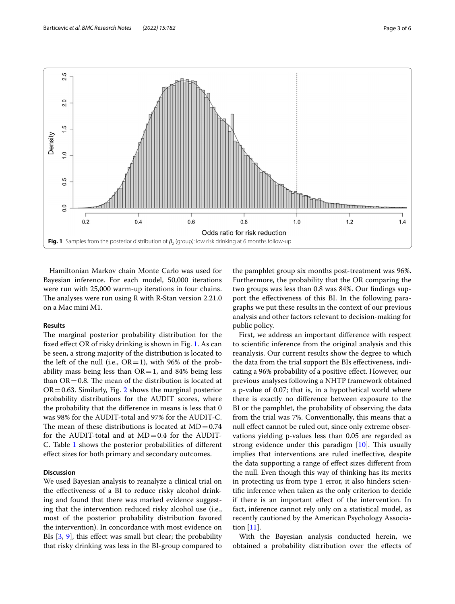

<span id="page-2-0"></span>Hamiltonian Markov chain Monte Carlo was used for Bayesian inference. For each model, 50,000 iterations were run with 25,000 warm-up iterations in four chains. The analyses were run using  $R$  with  $R$ -Stan version 2.21.0 on a Mac mini M1.

#### **Results**

The marginal posterior probability distribution for the fixed effect OR of risky drinking is shown in Fig. [1.](#page-2-0) As can be seen, a strong majority of the distribution is located to the left of the null (i.e.,  $OR=1$ ), with 96% of the probability mass being less than  $OR=1$ , and 84% being less than  $OR = 0.8$ . The mean of the distribution is located at  $OR = 0.63$ . Similarly, Fig. [2](#page-3-0) shows the marginal posterior probability distributions for the AUDIT scores, where the probability that the diference in means is less that 0 was 98% for the AUDIT-total and 97% for the AUDIT-C. The mean of these distributions is located at  $MD = 0.74$ for the AUDIT-total and at  $MD=0.4$  for the AUDIT-C. Table [1](#page-4-5) shows the posterior probabilities of diferent efect sizes for both primary and secondary outcomes.

#### **Discussion**

We used Bayesian analysis to reanalyze a clinical trial on the efectiveness of a BI to reduce risky alcohol drinking and found that there was marked evidence suggesting that the intervention reduced risky alcohol use (i.e., most of the posterior probability distribution favored the intervention). In concordance with most evidence on BIs [\[3](#page-4-2), [9](#page-5-3)], this efect was small but clear; the probability that risky drinking was less in the BI-group compared to

the pamphlet group six months post-treatment was 96%. Furthermore, the probability that the OR comparing the two groups was less than 0.8 was 84%. Our fndings support the efectiveness of this BI. In the following paragraphs we put these results in the context of our previous analysis and other factors relevant to decision-making for public policy.

First, we address an important diference with respect to scientifc inference from the original analysis and this reanalysis. Our current results show the degree to which the data from the trial support the BIs efectiveness, indicating a 96% probability of a positive efect. However, our previous analyses following a NHTP framework obtained a p-value of 0.07; that is, in a hypothetical world where there is exactly no diference between exposure to the BI or the pamphlet, the probability of observing the data from the trial was 7%. Conventionally, this means that a null efect cannot be ruled out, since only extreme observations yielding p-values less than 0.05 are regarded as strong evidence under this paradigm  $[10]$  $[10]$ . This usually implies that interventions are ruled inefective, despite the data supporting a range of efect sizes diferent from the null. Even though this way of thinking has its merits in protecting us from type 1 error, it also hinders scientifc inference when taken as the only criterion to decide if there is an important efect of the intervention. In fact, inference cannot rely only on a statistical model, as recently cautioned by the American Psychology Association [[11\]](#page-5-5).

With the Bayesian analysis conducted herein, we obtained a probability distribution over the efects of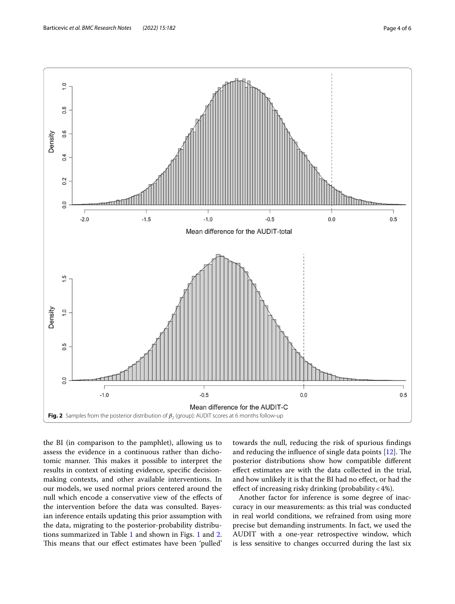

<span id="page-3-0"></span>the BI (in comparison to the pamphlet), allowing us to assess the evidence in a continuous rather than dichotomic manner. This makes it possible to interpret the results in context of existing evidence, specifc decisionmaking contexts, and other available interventions. In our models, we used normal priors centered around the null which encode a conservative view of the efects of the intervention before the data was consulted. Bayesian inference entails updating this prior assumption with the data, migrating to the posterior-probability distributions summarized in Table [1](#page-4-5) and shown in Figs. [1](#page-2-0) and [2](#page-3-0). This means that our effect estimates have been 'pulled' towards the null, reducing the risk of spurious fndings and reducing the influence of single data points  $[12]$  $[12]$ . The posterior distributions show how compatible diferent efect estimates are with the data collected in the trial, and how unlikely it is that the BI had no efect, or had the efect of increasing risky drinking (probability<4%).

Another factor for inference is some degree of inaccuracy in our measurements: as this trial was conducted in real world conditions, we refrained from using more precise but demanding instruments. In fact, we used the AUDIT with a one-year retrospective window, which is less sensitive to changes occurred during the last six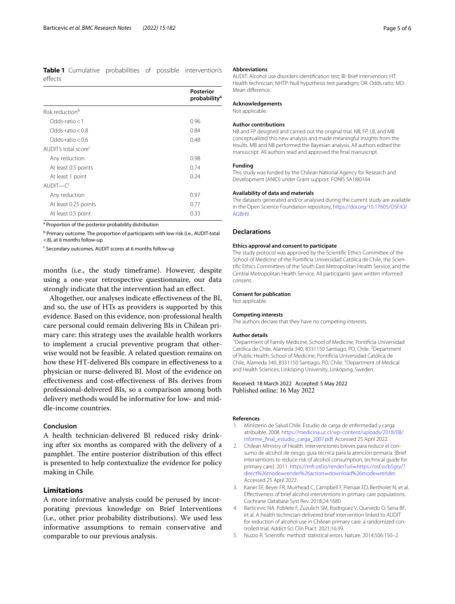<span id="page-4-5"></span>**Table 1** Cumulative probabilities of possible intervention's effects

|                                  | Posterior<br>probability <sup>a</sup> |
|----------------------------------|---------------------------------------|
| Risk reduction <sup>b</sup>      |                                       |
| $Odds-ratio < 1$                 | 0.96                                  |
| $Odds-ratio < 0.8$               | 0.84                                  |
| $Odds-ratio < 0.6$               | 0.48                                  |
| AUDIT's total score <sup>c</sup> |                                       |
| Any reduction                    | 0.98                                  |
| At least 0.5 points              | 0.74                                  |
| At least 1 point                 | 0.24                                  |
| AUDIT—C <sup>c</sup>             |                                       |
| Any reduction                    | 0.97                                  |
| At least 0.25 points             | 0.77                                  |
| At least 0.5 point               | 0.33                                  |

<sup>a</sup> Proportion of the posterior probability distribution

<sup>b</sup> Primary outcome. The proportion of participants with low risk (i.e., AUDIT-total <8), at 6 months follow-up

<sup>c</sup> Secondary outcomes. AUDIT scores at 6 months follow-up

months (i.e., the study timeframe). However, despite using a one-year retrospective questionnaire, our data strongly indicate that the intervention had an efect.

Altogether, our analyses indicate efectiveness of the BI, and so, the use of HTs as providers is supported by this evidence. Based on this evidence, non-professional health care personal could remain delivering BIs in Chilean primary care: this strategy uses the available health workers to implement a crucial preventive program that otherwise would not be feasible. A related question remains on how these HT-delivered BIs compare in efectiveness to a physician or nurse-delivered BI. Most of the evidence on efectiveness and cost-efectiveness of BIs derives from professional-delivered BIs, so a comparison among both delivery methods would be informative for low- and middle-income countries.

#### **Conclusion**

A health technician-delivered BI reduced risky drinking after six months as compared with the delivery of a pamphlet. The entire posterior distribution of this effect is presented to help contextualize the evidence for policy making in Chile.

## **Limitations**

A more informative analysis could be perused by incorporating previous knowledge on Brief Interventions (i.e., other prior probability distributions). We used less informative assumptions to remain conservative and comparable to our previous analysis.

#### **Abbreviations**

AUDIT: Alcohol use disorders identifcation test; BI: Brief intervention; HT: Health technician; NHTP: Null hypothesis test paradigm; OR: Odds ratio; MD: Mean diference.

#### **Acknowledgements**

Not applicable.

#### **Author contributions**

NB and FP designed and carried out the original trial. NB, FP, LB, and MB conceptualized this new analysis and made meaningful insights from the results. MB and NB performed the Bayesian analysis. All authors edited the manuscript. All authors read and approved the fnal manuscript.

#### **Funding**

This study was funded by the Chilean National Agency for Research and Development (ANID) under Grant support: FONIS SA18I0164.

#### **Availability of data and materials**

The datasets generated and/or analysed during the current study are available in the Open Science Foundation repository, [https://doi.org/10.17605/OSF.IO/](https://doi.org/10.17605/OSF.IO/AGBH9) [AGBH9.](https://doi.org/10.17605/OSF.IO/AGBH9)

#### **Declarations**

#### **Ethics approval and consent to participate**

The study protocol was approved by the Scientifc Ethics Committee of the School of Medicine of the Pontifcia Universidad Católica de Chile, the Scientifc Ethics Committees of the South East Metropolitan Health Service, and the Central Metropolitan Health Service. All participants gave written informed consent.

#### **Consent for publication**

Not applicable.

#### **Competing interests**

The authors declare that they have no competing interests.

#### **Author details**

<sup>1</sup> Department of Family Medicine, School of Medicine, Pontificia Universidad Católica de Chile, Alameda 340, 8331150 Santiago, PO, Chile. <sup>2</sup> Department of Public Health, School of Medicine, Pontifcia Universidad Católica de Chile, Alameda 340, 8331150 Santiago, PO, Chile. <sup>3</sup> Department of Medical and Health Sciences, Linköping University, Linköping, Sweden.

#### Received: 18 March 2022 Accepted: 5 May 2022 Published online: 16 May 2022

#### **References**

- <span id="page-4-0"></span>1. Ministerio de Salud Chile. Estudio de carga de enfermedad y carga atribuible. 2008. [https://medicina.uc.cl/wp-content/uploads/2018/08/](https://medicina.uc.cl/wp-content/uploads/2018/08/Informe_final_estudio_carga_2007.pdf) [Informe\\_fnal\\_estudio\\_carga\\_2007.pdf.](https://medicina.uc.cl/wp-content/uploads/2018/08/Informe_final_estudio_carga_2007.pdf) Accessed 25 April 2022.
- <span id="page-4-1"></span>2. Chilean Ministry of Health. Intervenciones breves para reducir el consumo de alcohol de riesgo, guía técnica para la atención primaria. [Brief interventions to reduce risk of alcohol consumption, technical guide for primary care]. 2011. [https://mfr.osf.io/render?url](https://mfr.osf.io/render?url=https://osf.io/b5gry/?direct%26mode=render%26action=download%26mode=render)=https://osf.io/b5gry/? direct%26mode=render%26action=[download%26mode](https://mfr.osf.io/render?url=https://osf.io/b5gry/?direct%26mode=render%26action=download%26mode=render)=render. Accessed 25 April 2022.
- <span id="page-4-2"></span>3. Kaner EF, Beyer FR, Muirhead C, Campbell F, Pienaar ED, Bertholet N, et al. Efectiveness of brief alcohol interventions in primary care populations. Cochrane Database Syst Rev. 2018;24:1680.
- <span id="page-4-3"></span>4. Barticevic NA, Poblete F, Zuzulich SM, Rodriguez V, Quevedo D, Sena BF, et al. A health technician-delivered brief intervention linked to AUDIT for reduction of alcohol use in Chilean primary care: a randomized controlled trial. Addict Sci Clin Pract. 2021;16:39.
- <span id="page-4-4"></span>5. Nuzzo R. Scientifc method: statistical errors. Nature. 2014;506:150–2.